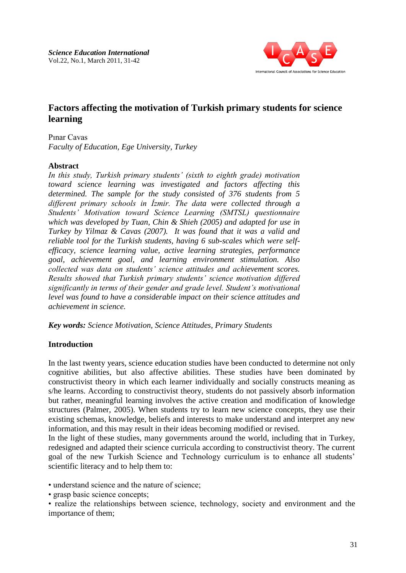

# **Factors affecting the motivation of Turkish primary students for science learning**

Pınar Cavas

*Faculty of Education, Ege University, Turkey*

## **Abstract**

*In this study, Turkish primary students' (sixth to eighth grade) motivation toward science learning was investigated and factors affecting this determined. The sample for the study consisted of 376 students from 5 different primary schools in İzmir. The data were collected through a Students' Motivation toward Science Learning (SMTSL) questionnaire which was developed by Tuan, Chin & Shieh (2005) and adapted for use in Turkey by Yilmaz & Cavas (2007). It was found that it was a valid and reliable tool for the Turkish students, having 6 sub-scales which were selfefficacy, science learning value, active learning strategies, performance goal, achievement goal, and learning environment stimulation. Also collected was data on students' science attitudes and achievement scores. Results showed that Turkish primary students' science motivation differed significantly in terms of their gender and grade level. Student's motivational level was found to have a considerable impact on their science attitudes and achievement in science.*

*Key words: Science Motivation, Science Attitudes, Primary Students*

## **Introduction**

In the last twenty years, science education studies have been conducted to determine not only cognitive abilities, but also affective abilities. These studies have been dominated by constructivist theory in which each learner individually and socially constructs meaning as s/he learns. According to constructivist theory, students do not passively absorb information but rather, meaningful learning involves the active creation and modification of knowledge structures (Palmer, 2005). When students try to learn new science concepts, they use their existing schemas, knowledge, beliefs and interests to make understand and interpret any new information, and this may result in their ideas becoming modified or revised.

In the light of these studies, many governments around the world, including that in Turkey, redesigned and adapted their science curricula according to constructivist theory. The current goal of the new Turkish Science and Technology curriculum is to enhance all students' scientific literacy and to help them to:

• understand science and the nature of science;

• grasp basic science concepts;

• realize the relationships between science, technology, society and environment and the importance of them;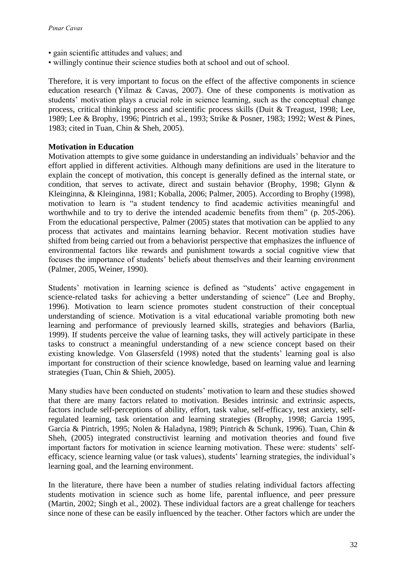- gain scientific attitudes and values; and
- willingly continue their science studies both at school and out of school.

Therefore, it is very important to focus on the effect of the affective components in science education research (Yilmaz & Cavas, 2007). One of these components is motivation as students' motivation plays a crucial role in science learning, such as the conceptual change process, critical thinking process and scientific process skills (Duit & Treagust, 1998; Lee, 1989; Lee & Brophy, 1996; Pintrich et al., 1993; Strike & Posner, 1983; 1992; West & Pines, 1983; cited in Tuan, Chin & Sheh, 2005).

#### **Motivation in Education**

Motivation attempts to give some guidance in understanding an individuals' behavior and the effort applied in different activities. Although many definitions are used in the literature to explain the concept of motivation, this concept is generally defined as the internal state, or condition, that serves to activate, direct and sustain behavior (Brophy, 1998; Glynn & Kleinginna, & Kleinginna, 1981; Koballa, 2006; Palmer, 2005). According to Brophy (1998), motivation to learn is "a student tendency to find academic activities meaningful and worthwhile and to try to derive the intended academic benefits from them" (p. 205-206). From the educational perspective, Palmer (2005) states that motivation can be applied to any process that activates and maintains learning behavior. Recent motivation studies have shifted from being carried out from a behaviorist perspective that emphasizes the influence of environmental factors like rewards and punishment towards a social cognitive view that focuses the importance of students' beliefs about themselves and their learning environment (Palmer, 2005, Weiner, 1990).

Students' motivation in learning science is defined as "students' active engagement in science-related tasks for achieving a better understanding of science" (Lee and Brophy, 1996). Motivation to learn science promotes student construction of their conceptual understanding of science. Motivation is a vital educational variable promoting both new learning and performance of previously learned skills, strategies and behaviors (Barlia, 1999). If students perceive the value of learning tasks, they will actively participate in these tasks to construct a meaningful understanding of a new science concept based on their existing knowledge. Von Glasersfeld (1998) noted that the students' learning goal is also important for construction of their science knowledge, based on learning value and learning strategies (Tuan, Chin & Shieh, 2005).

Many studies have been conducted on students' motivation to learn and these studies showed that there are many factors related to motivation. Besides intrinsic and extrinsic aspects, factors include self-perceptions of ability, effort, task value, self-efficacy, test anxiety, selfregulated learning, task orientation and learning strategies (Brophy, 1998; Garcia 1995, Garcia & Pintrich, 1995; Nolen & Haladyna, 1989; Pintrich & Schunk, 1996). Tuan, Chin & Sheh, (2005) integrated constructivist learning and motivation theories and found five important factors for motivation in science learning motivation. These were: students' selfefficacy, science learning value (or task values), students' learning strategies, the individual's learning goal, and the learning environment.

In the literature, there have been a number of studies relating individual factors affecting students motivation in science such as home life, parental influence, and peer pressure (Martin, 2002; Singh et al., 2002). These individual factors are a great challenge for teachers since none of these can be easily influenced by the teacher. Other factors which are under the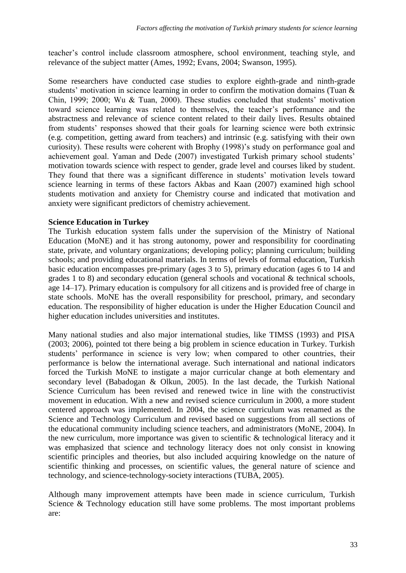teacher's control include classroom atmosphere, school environment, teaching style, and relevance of the subject matter (Ames, 1992; Evans, 2004; Swanson, 1995).

Some researchers have conducted case studies to explore eighth-grade and ninth-grade students' motivation in science learning in order to confirm the motivation domains (Tuan & Chin, 1999; 2000; Wu & Tuan, 2000). These studies concluded that students' motivation toward science learning was related to themselves, the teacher's performance and the abstractness and relevance of science content related to their daily lives. Results obtained from students' responses showed that their goals for learning science were both extrinsic (e.g. competition, getting award from teachers) and intrinsic (e.g. satisfying with their own curiosity). These results were coherent with Brophy (1998)'s study on performance goal and achievement goal. Yaman and Dede (2007) investigated Turkish primary school students' motivation towards science with respect to gender, grade level and courses liked by student. They found that there was a significant difference in students' motivation levels toward science learning in terms of these factors Akbas and Kaan (2007) examined high school students motivation and anxiety for Chemistry course and indicated that motivation and anxiety were significant predictors of chemistry achievement.

## **Science Education in Turkey**

The Turkish education system falls under the supervision of the Ministry of National Education (MoNE) and it has strong autonomy, power and responsibility for coordinating state, private, and voluntary organizations; developing policy; planning curriculum; building schools; and providing educational materials. In terms of levels of formal education, Turkish basic education encompasses pre-primary (ages 3 to 5), primary education (ages 6 to 14 and grades 1 to 8) and secondary education (general schools and vocational & technical schools, age 14–17). Primary education is compulsory for all citizens and is provided free of charge in state schools. MoNE has the overall responsibility for preschool, primary, and secondary education. The responsibility of higher education is under the Higher Education Council and higher education includes universities and institutes.

Many national studies and also major international studies, like TIMSS (1993) and PISA (2003; 2006), pointed tot there being a big problem in science education in Turkey. Turkish students' performance in science is very low; when compared to other countries, their performance is below the international average. Such international and national indicators forced the Turkish MoNE to instigate a major curricular change at both elementary and secondary level (Babadogan & Olkun, 2005). In the last decade, the Turkish National Science Curriculum has been revised and renewed twice in line with the constructivist movement in education. With a new and revised science curriculum in 2000, a more student centered approach was implemented. In 2004, the science curriculum was renamed as the Science and Technology Curriculum and revised based on suggestions from all sections of the educational community including science teachers, and administrators (MoNE, 2004). In the new curriculum, more importance was given to scientific & technological literacy and it was emphasized that science and technology literacy does not only consist in knowing scientific principles and theories, but also included acquiring knowledge on the nature of scientific thinking and processes, on scientific values, the general nature of science and technology, and science-technology-society interactions (TUBA, 2005).

Although many improvement attempts have been made in science curriculum, Turkish Science & Technology education still have some problems. The most important problems are: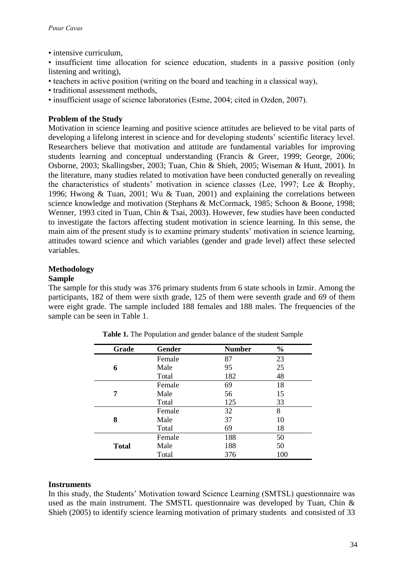• intensive curriculum,

• insufficient time allocation for science education, students in a passive position (only listening and writing),

- teachers in active position (writing on the board and teaching in a classical way),
- traditional assessment methods,
- insufficient usage of science laboratories (Esme, 2004; cited in Ozden, 2007).

## **Problem of the Study**

Motivation in science learning and positive science attitudes are believed to be vital parts of developing a lifelong interest in science and for developing students' scientific literacy level. Researchers believe that motivation and attitude are fundamental variables for improving students learning and conceptual understanding (Francis & Greer, 1999; George, 2006; Osborne, 2003; Skallingsber, 2003; Tuan, Chin & Shieh, 2005; Wiseman & Hunt, 2001). In the literature, many studies related to motivation have been conducted generally on revealing the characteristics of students' motivation in science classes (Lee, 1997; Lee & Brophy, 1996; Hwong & Tuan, 2001; Wu & Tuan, 2001) and explaining the correlations between science knowledge and motivation (Stephans & McCormack, 1985; Schoon & Boone, 1998; Wenner, 1993 cited in Tuan, Chin & Tsai, 2003). However, few studies have been conducted to investigate the factors affecting student motivation in science learning. In this sense, the main aim of the present study is to examine primary students' motivation in science learning, attitudes toward science and which variables (gender and grade level) affect these selected variables.

## **Methodology**

#### **Sample**

The sample for this study was 376 primary students from 6 state schools in Izmir. Among the participants, 182 of them were sixth grade, 125 of them were seventh grade and 69 of them were eight grade. The sample included 188 females and 188 males. The frequencies of the sample can be seen in Table 1.

| Grade        | Gender | <b>Number</b> | $\frac{0}{0}$ |  |
|--------------|--------|---------------|---------------|--|
|              | Female | 87            | 23            |  |
| 6            | Male   | 95            | 25            |  |
|              | Total  | 182           | 48            |  |
|              | Female | 69            | 18            |  |
| 7            | Male   | 56            | 15            |  |
|              | Total  | 125           | 33            |  |
|              | Female | 32            | 8             |  |
| 8            | Male   | 37            | 10            |  |
|              | Total  | 69            | 18            |  |
| <b>Total</b> | Female | 188           | 50            |  |
|              | Male   | 188           | 50            |  |
|              | Total  | 376           | 100           |  |

**Table 1.** The Population and gender balance of the student Sample

#### **Instruments**

In this study, the Students' Motivation toward Science Learning (SMTSL) questionnaire was used as the main instrument. The SMSTL questionnaire was developed by Tuan, Chin & Shieh (2005) to identify science learning motivation of primary students and consisted of 33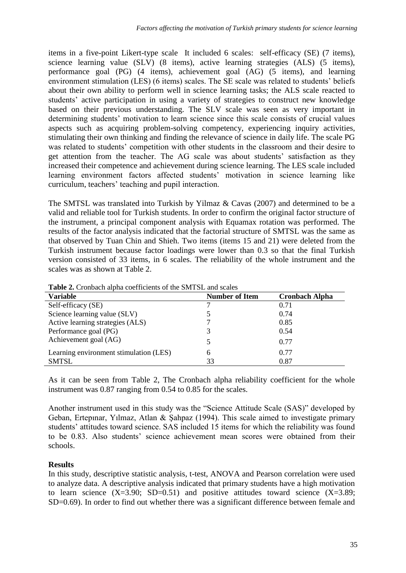items in a five-point Likert-type scale It included 6 scales: self-efficacy (SE) (7 items), science learning value (SLV) (8 items), active learning strategies (ALS) (5 items), performance goal (PG) (4 items), achievement goal (AG) (5 items), and learning environment stimulation (LES) (6 items) scales. The SE scale was related to students' beliefs about their own ability to perform well in science learning tasks; the ALS scale reacted to students' active participation in using a variety of strategies to construct new knowledge based on their previous understanding. The SLV scale was seen as very important in determining students' motivation to learn science since this scale consists of crucial values aspects such as acquiring problem-solving competency, experiencing inquiry activities, stimulating their own thinking and finding the relevance of science in daily life. The scale PG was related to students' competition with other students in the classroom and their desire to get attention from the teacher. The AG scale was about students' satisfaction as they increased their competence and achievement during science learning. The LES scale included learning environment factors affected students' motivation in science learning like curriculum, teachers' teaching and pupil interaction.

The SMTSL was translated into Turkish by Yilmaz & Cavas (2007) and determined to be a valid and reliable tool for Turkish students. In order to confirm the original factor structure of the instrument, a principal component analysis with Equamax rotation was performed. The results of the factor analysis indicated that the factorial structure of SMTSL was the same as that observed by Tuan Chin and Shieh. Two items (items 15 and 21) were deleted from the Turkish instrument because factor loadings were lower than 0.3 so that the final Turkish version consisted of 33 items, in 6 scales. The reliability of the whole instrument and the scales was as shown at Table 2.

| <b>Variable</b>                        | <b>Number of Item</b> | <b>Cronbach Alpha</b> |  |  |  |  |
|----------------------------------------|-----------------------|-----------------------|--|--|--|--|
| Self-efficacy (SE)                     |                       | 0.71                  |  |  |  |  |
| Science learning value (SLV)           |                       | 0.74                  |  |  |  |  |
| Active learning strategies (ALS)       |                       | 0.85                  |  |  |  |  |
| Performance goal (PG)                  | 3                     | 0.54                  |  |  |  |  |
| Achievement goal (AG)                  |                       | 0.77                  |  |  |  |  |
| Learning environment stimulation (LES) | 6                     | 0.77                  |  |  |  |  |
| <b>SMTSL</b>                           | 33                    | 0.87                  |  |  |  |  |

**Table 2.** Cronbach alpha coefficients of the SMTSL and scales

As it can be seen from Table 2, The Cronbach alpha reliability coefficient for the whole instrument was 0.87 ranging from 0.54 to 0.85 for the scales.

Another instrument used in this study was the "Science Attitude Scale (SAS)" developed by Geban, Ertepınar, Yılmaz, Atlan & Şahpaz (1994). This scale aimed to investigate primary students' attitudes toward science. SAS included 15 items for which the reliability was found to be 0.83. Also students' science achievement mean scores were obtained from their schools.

## **Results**

In this study, descriptive statistic analysis, t-test, ANOVA and Pearson correlation were used to analyze data. A descriptive analysis indicated that primary students have a high motivation to learn science  $(X=3.90; SD=0.51)$  and positive attitudes toward science  $(X=3.89;$ SD=0.69). In order to find out whether there was a significant difference between female and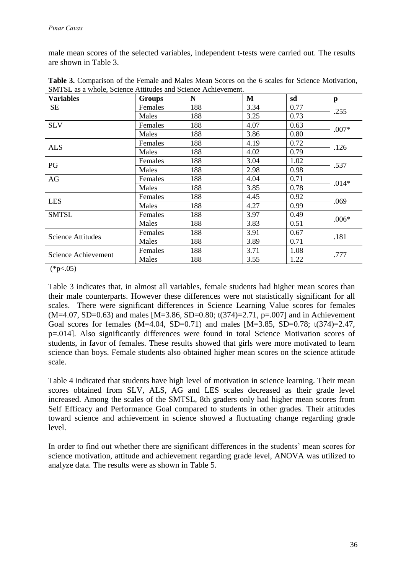male mean scores of the selected variables, independent t-tests were carried out. The results are shown in Table 3.

| <b>Variables</b>    | <b>Groups</b>  | N   | M    | sd   | p       |
|---------------------|----------------|-----|------|------|---------|
| <b>SE</b>           | Females        | 188 | 3.34 | 0.77 | .255    |
|                     | Males          | 188 | 3.25 | 0.73 |         |
| <b>SLV</b>          | Females        | 188 | 4.07 | 0.63 | $.007*$ |
|                     | Males          | 188 | 3.86 | 0.80 |         |
| <b>ALS</b>          | <b>Females</b> | 188 | 4.19 | 0.72 | .126    |
|                     | Males          | 188 | 4.02 | 0.79 |         |
| PG                  | Females        | 188 | 3.04 | 1.02 | .537    |
|                     | Males          | 188 | 2.98 | 0.98 |         |
| AG                  | Females        | 188 | 4.04 | 0.71 | $.014*$ |
|                     | Males          | 188 | 3.85 | 0.78 |         |
|                     | Females        | 188 | 4.45 | 0.92 | .069    |
| <b>LES</b>          | Males          | 188 | 4.27 | 0.99 |         |
| <b>SMTSL</b>        | Females        | 188 | 3.97 | 0.49 | $.006*$ |
|                     | Males          | 188 | 3.83 | 0.51 |         |
| Science Attitudes   | Females        | 188 | 3.91 | 0.67 | .181    |
|                     | Males          | 188 | 3.89 | 0.71 |         |
| Science Achievement | Females        | 188 | 3.71 | 1.08 | .777    |
|                     | Males          | 188 | 3.55 | 1.22 |         |

**Table 3.** Comparison of the Female and Males Mean Scores on the 6 scales for Science Motivation, SMTSL as a whole, Science Attitudes and Science Achievement.

 $(*p<0.05)$ 

Table 3 indicates that, in almost all variables, female students had higher mean scores than their male counterparts. However these differences were not statistically significant for all scales. There were significant differences in Science Learning Value scores for females  $(M=4.07, SD=0.63)$  and males [M=3.86, SD=0.80; t(374)=2.71, p=.007] and in Achievement Goal scores for females  $(M=4.04, SD=0.71)$  and males  $[M=3.85, SD=0.78; t(374)=2.47$ , p=.014]. Also significantly differences were found in total Science Motivation scores of students, in favor of females. These results showed that girls were more motivated to learn science than boys. Female students also obtained higher mean scores on the science attitude scale.

Table 4 indicated that students have high level of motivation in science learning. Their mean scores obtained from SLV, ALS, AG and LES scales decreased as their grade level increased. Among the scales of the SMTSL, 8th graders only had higher mean scores from Self Efficacy and Performance Goal compared to students in other grades. Their attitudes toward science and achievement in science showed a fluctuating change regarding grade level.

In order to find out whether there are significant differences in the students' mean scores for science motivation, attitude and achievement regarding grade level, ANOVA was utilized to analyze data. The results were as shown in Table 5.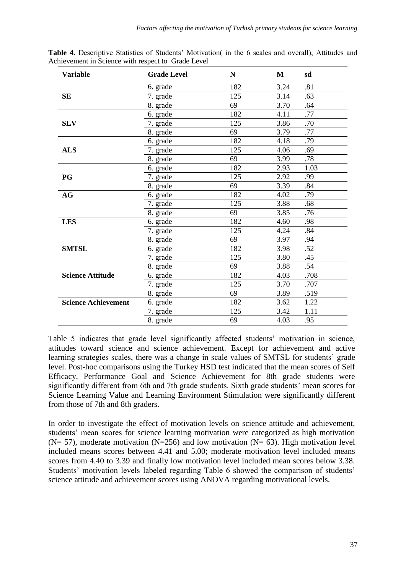| <b>Variable</b>            | <b>Grade Level</b> | N   | M    | sd   |
|----------------------------|--------------------|-----|------|------|
|                            | 6. grade           | 182 | 3.24 | .81  |
| <b>SE</b>                  | 7. grade           | 125 | 3.14 | .63  |
|                            | 8. grade           | 69  | 3.70 | .64  |
|                            | 6. grade           | 182 | 4.11 | .77  |
| <b>SLV</b>                 | 7. grade           | 125 | 3.86 | .70  |
|                            | 8. grade           | 69  | 3.79 | .77  |
|                            | 6. grade           | 182 | 4.18 | .79  |
| <b>ALS</b>                 | 7. grade           | 125 | 4.06 | .69  |
|                            | 8. grade           | 69  | 3.99 | .78  |
|                            | 6. grade           | 182 | 2.93 | 1.03 |
| PG                         | 7. grade           | 125 | 2.92 | .99  |
|                            | 8. grade           | 69  | 3.39 | .84  |
| AG                         | 6. grade           | 182 | 4.02 | .79  |
|                            | 7. grade           | 125 | 3.88 | .68  |
|                            | 8. grade           | 69  | 3.85 | .76  |
| <b>LES</b>                 | 6. grade           | 182 | 4.60 | .98  |
|                            | 7. grade           | 125 | 4.24 | .84  |
|                            | 8. grade           | 69  | 3.97 | .94  |
| <b>SMTSL</b>               | 6. grade           | 182 | 3.98 | .52  |
|                            | 7. grade           | 125 | 3.80 | .45  |
|                            | 8. grade           | 69  | 3.88 | .54  |
| <b>Science Attitude</b>    | 6. grade           | 182 | 4.03 | .708 |
|                            | 7. grade           | 125 | 3.70 | .707 |
|                            | 8. grade           | 69  | 3.89 | .519 |
| <b>Science Achievement</b> | 6. grade           | 182 | 3.62 | 1.22 |
|                            | 7. grade           | 125 | 3.42 | 1.11 |
|                            | 8. grade           | 69  | 4.03 | .95  |

**Table 4.** Descriptive Statistics of Students' Motivation( in the 6 scales and overall), Attitudes and Achievement in Science with respect to Grade Level

Table 5 indicates that grade level significantly affected students' motivation in science, attitudes toward science and science achievement. Except for achievement and active learning strategies scales, there was a change in scale values of SMTSL for students' grade level. Post-hoc comparisons using the Turkey HSD test indicated that the mean scores of Self Efficacy, Performance Goal and Science Achievement for 8th grade students were significantly different from 6th and 7th grade students. Sixth grade students' mean scores for Science Learning Value and Learning Environment Stimulation were significantly different from those of 7th and 8th graders.

In order to investigate the effect of motivation levels on science attitude and achievement, students' mean scores for science learning motivation were categorized as high motivation ( $N = 57$ ), moderate motivation ( $N = 256$ ) and low motivation ( $N = 63$ ). High motivation level included means scores between 4.41 and 5.00; moderate motivation level included means scores from 4.40 to 3.39 and finally low motivation level included mean scores below 3.38. Students' motivation levels labeled regarding Table 6 showed the comparison of students' science attitude and achievement scores using ANOVA regarding motivational levels.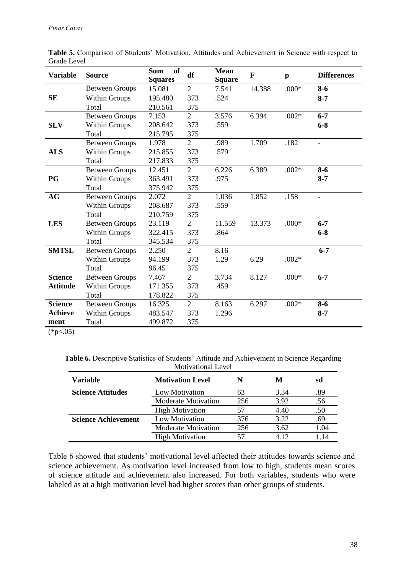| <b>Variable</b> | <b>Source</b>         | <sub>of</sub><br><b>Sum</b><br><b>Squares</b> | df             | <b>Mean</b><br><b>Square</b> | $\mathbf{F}$ | $\mathbf{p}$ | <b>Differences</b> |
|-----------------|-----------------------|-----------------------------------------------|----------------|------------------------------|--------------|--------------|--------------------|
|                 | <b>Between Groups</b> | 15.081                                        | $\overline{2}$ | 7.541                        | 14.388       | $.000*$      | $8 - 6$            |
| <b>SE</b>       | <b>Within Groups</b>  | 195.480                                       | 373            | .524                         |              |              | $8 - 7$            |
|                 | Total                 | 210.561                                       | 375            |                              |              |              |                    |
|                 | <b>Between Groups</b> | 7.153                                         | $\overline{2}$ | 3.576                        | 6.394        | $.002*$      | $6 - 7$            |
| <b>SLV</b>      | <b>Within Groups</b>  | 208.642                                       | 373            | .559                         |              |              | $6 - 8$            |
|                 | Total                 | 215.795                                       | 375            |                              |              |              |                    |
|                 | <b>Between Groups</b> | 1.978                                         | $\overline{2}$ | .989                         | 1.709        | .182         | $\blacksquare$     |
| <b>ALS</b>      | <b>Within Groups</b>  | 215.855                                       | 373            | .579                         |              |              |                    |
|                 | Total                 | 217.833                                       | 375            |                              |              |              |                    |
|                 | <b>Between Groups</b> | 12.451                                        | $\overline{2}$ | 6.226                        | 6.389        | $.002*$      | $8 - 6$            |
| PG              | <b>Within Groups</b>  | 363.491                                       | 373            | .975                         |              |              | $8 - 7$            |
|                 | Total                 | 375.942                                       | 375            |                              |              |              |                    |
| AG              | <b>Between Groups</b> | 2.072                                         | $\overline{2}$ | 1.036                        | 1.852        | .158         |                    |
|                 | <b>Within Groups</b>  | 208.687                                       | 373            | .559                         |              |              |                    |
|                 | Total                 | 210.759                                       | 375            |                              |              |              |                    |
| <b>LES</b>      | <b>Between Groups</b> | 23.119                                        | $\overline{2}$ | 11.559                       | 13.373       | $.000*$      | $6 - 7$            |
|                 | <b>Within Groups</b>  | 322.415                                       | 373            | .864                         |              |              | $6 - 8$            |
|                 | Total                 | 345.534                                       | 375            |                              |              |              |                    |
| <b>SMTSL</b>    | <b>Between Groups</b> | 2.250                                         | $\overline{2}$ | 8.16                         |              |              | $6 - 7$            |
|                 | <b>Within Groups</b>  | 94.199                                        | 373            | 1.29                         | 6.29         | $.002*$      |                    |
|                 | Total                 | 96.45                                         | 375            |                              |              |              |                    |
| <b>Science</b>  | <b>Between Groups</b> | 7.467                                         | $\overline{2}$ | 3.734                        | 8.127        | $.000*$      | $6 - 7$            |
| <b>Attitude</b> | Within Groups         | 171.355                                       | 373            | .459                         |              |              |                    |
|                 | Total                 | 178.822                                       | 375            |                              |              |              |                    |
| <b>Science</b>  | <b>Between Groups</b> | 16.325                                        | $\overline{2}$ | 8.163                        | 6.297        | $.002*$      | $8 - 6$            |
| <b>Achieve</b>  | <b>Within Groups</b>  | 483.547                                       | 373            | 1.296                        |              |              | $8 - 7$            |
| ment            | Total                 | 499.872                                       | 375            |                              |              |              |                    |

**Table 5.** Comparison of Students' Motivation, Attitudes and Achievement in Science with respect to Grade Level

 $(*p<.05)$ 

Table 6. Descriptive Statistics of Students' Attitude and Achievement in Science Regarding Motivational Level

| <b>Variable</b>            | <b>Motivation Level</b>    |     | M     | sd   |
|----------------------------|----------------------------|-----|-------|------|
| <b>Science Attitudes</b>   | Low Motivation             | 63  | 3.34  | .89  |
|                            | <b>Moderate Motivation</b> | 256 | 3.92  | .56  |
|                            | <b>High Motivation</b>     | 57  | 4.40  | .50  |
| <b>Science Achievement</b> | Low Motivation             | 376 | 3.22  | .69  |
|                            | <b>Moderate Motivation</b> | 256 | 3.62  | 1.04 |
|                            | <b>High Motivation</b>     | 57  | 4 1 2 | 114  |

Table 6 showed that students' motivational level affected their attitudes towards science and science achievement. As motivation level increased from low to high, students mean scores of science attitude and achievement also increased. For both variables, students who were labeled as at a high motivation level had higher scores than other groups of students.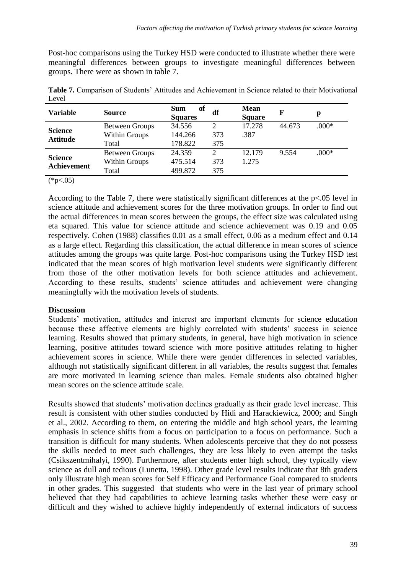Post-hoc comparisons using the Turkey HSD were conducted to illustrate whether there were meaningful differences between groups to investigate meaningful differences between groups. There were as shown in table 7.

| <b>Variable</b>                   | <b>Source</b>         | of<br><b>Sum</b><br><b>Squares</b> | df                          | <b>Mean</b><br><b>Square</b> | F      | p       |
|-----------------------------------|-----------------------|------------------------------------|-----------------------------|------------------------------|--------|---------|
| <b>Science</b><br><b>Attitude</b> | <b>Between Groups</b> | 34.556                             | $\mathcal{D}_{\mathcal{L}}$ | 17.278                       | 44.673 | $.000*$ |
|                                   | Within Groups         | 144.266                            | 373                         | .387                         |        |         |
|                                   | Total                 | 178.822                            | 375                         |                              |        |         |
| <b>Science</b><br>Achievement     | <b>Between Groups</b> | 24.359                             | $\overline{2}$              | 12.179                       | 9.554  | $.000*$ |
|                                   | Within Groups         | 475.514                            | 373                         | 1.275                        |        |         |
|                                   | Total                 | 499.872                            | 375                         |                              |        |         |

**Table 7.** Comparison of Students' Attitudes and Achievement in Science related to their Motivational Level

 $(*p<.05)$ 

According to the Table 7, there were statistically significant differences at the p<.05 level in science attitude and achievement scores for the three motivation groups. In order to find out the actual differences in mean scores between the groups, the effect size was calculated using eta squared. This value for science attitude and science achievement was 0.19 and 0.05 respectively. Cohen (1988) classifies 0.01 as a small effect, 0.06 as a medium effect and 0.14 as a large effect. Regarding this classification, the actual difference in mean scores of science attitudes among the groups was quite large. Post-hoc comparisons using the Turkey HSD test indicated that the mean scores of high motivation level students were significantly different from those of the other motivation levels for both science attitudes and achievement. According to these results, students' science attitudes and achievement were changing meaningfully with the motivation levels of students.

#### **Discussion**

Students' motivation, attitudes and interest are important elements for science education because these affective elements are highly correlated with students' success in science learning. Results showed that primary students, in general, have high motivation in science learning, positive attitudes toward science with more positive attitudes relating to higher achievement scores in science. While there were gender differences in selected variables, although not statistically significant different in all variables, the results suggest that females are more motivated in learning science than males. Female students also obtained higher mean scores on the science attitude scale.

Results showed that students' motivation declines gradually as their grade level increase. This result is consistent with other studies conducted by Hidi and Harackiewicz, 2000; and Singh et al., 2002. According to them, on entering the middle and high school years, the learning emphasis in science shifts from a focus on participation to a focus on performance. Such a transition is difficult for many students. When adolescents perceive that they do not possess the skills needed to meet such challenges, they are less likely to even attempt the tasks (Csikszentmihalyi, 1990). Furthermore, after students enter high school, they typically view science as dull and tedious (Lunetta, 1998). Other grade level results indicate that 8th graders only illustrate high mean scores for Self Efficacy and Performance Goal compared to students in other grades. This suggested that students who were in the last year of primary school believed that they had capabilities to achieve learning tasks whether these were easy or difficult and they wished to achieve highly independently of external indicators of success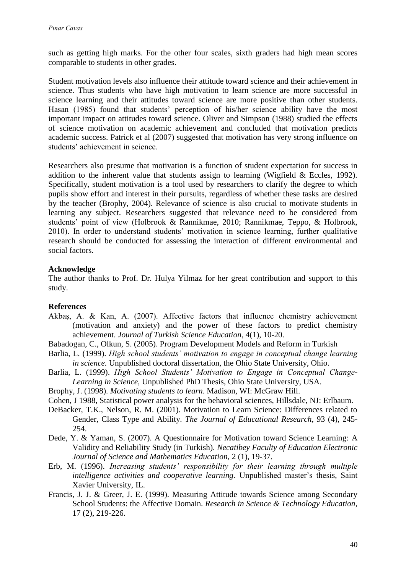such as getting high marks. For the other four scales, sixth graders had high mean scores comparable to students in other grades.

Student motivation levels also influence their attitude toward science and their achievement in science. Thus students who have high motivation to learn science are more successful in science learning and their attitudes toward science are more positive than other students. Hasan (1985) found that students' perception of his/her science ability have the most important impact on attitudes toward science. Oliver and Simpson (1988) studied the effects of science motivation on academic achievement and concluded that motivation predicts academic success. Patrick et al (2007) suggested that motivation has very strong influence on students' achievement in science.

Researchers also presume that motivation is a function of student expectation for success in addition to the inherent value that students assign to learning (Wigfield & Eccles, 1992). Specifically, student motivation is a tool used by researchers to clarify the degree to which pupils show effort and interest in their pursuits, regardless of whether these tasks are desired by the teacher (Brophy, 2004). Relevance of science is also crucial to motivate students in learning any subject. Researchers suggested that relevance need to be considered from students' point of view (Holbrook & Rannikmae, 2010; Rannikmae, Teppo, & Holbrook, 2010). In order to understand students' motivation in science learning, further qualitative research should be conducted for assessing the interaction of different environmental and social factors.

## **Acknowledge**

The author thanks to Prof. Dr. Hulya Yilmaz for her great contribution and support to this study.

#### **References**

Akbaş, A. & Kan, A. (2007). Affective factors that influence chemistry achievement (motivation and anxiety) and the power of these factors to predict chemistry achievement. *Journal of Turkish Science Education*, 4(1), 10-20.

Babadogan, C., Olkun, S. (2005). Program Development Models and Reform in Turkish

- Barlia, L. (1999). *High school students' motivation to engage in conceptual change learning in science.* Unpublished doctoral dissertation, the Ohio State University, Ohio.
- Barlia, L. (1999). *High School Students' Motivation to Engage in Conceptual Change-Learning in Science,* Unpublished PhD Thesis, Ohio State University, USA.
- Brophy, J. (1998). *Motivating students to learn*. Madison, WI: McGraw Hill.
- Cohen, J 1988, Statistical power analysis for the behavioral sciences, Hillsdale, NJ: Erlbaum.
- DeBacker, T.K., Nelson, R. M. (2001). Motivation to Learn Science: Differences related to Gender, Class Type and Ability. *The Journal of Educational Research*, 93 (4), 245- 254.
- Dede, Y. & Yaman, S. (2007). A Questionnaire for Motivation toward Science Learning: A Validity and Reliability Study (in Turkish). *Necatibey Faculty of Education Electronic Journal of Science and Mathematics Education*, 2 (1), 19-37.
- Erb, M. (1996). *Increasing students' responsibility for their learning through multiple intelligence activities and cooperative learning*. Unpublished master's thesis, Saint Xavier University, IL.
- Francis, J. J. & Greer, J. E. (1999). Measuring Attitude towards Science among Secondary School Students: the Affective Domain. *Research in Science & Technology Education*, 17 (2), 219-226.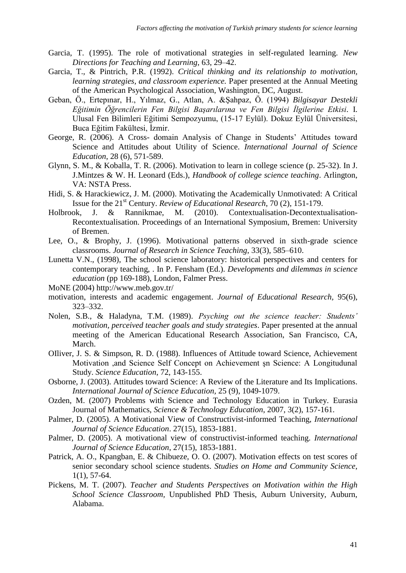- Garcia, T. (1995). The role of motivational strategies in self-regulated learning. *New Directions for Teaching and Learning*, 63, 29–42.
- Garcia, T., & Pintrich, P.R. (1992). *Critical thinking and its relationship to motivation, learning strategies, and classroom experience.* Paper presented at the Annual Meeting of the American Psychological Association, Washington, DC, August.
- Geban, Ö., Ertepınar, H., Yılmaz, G., Atlan, A. &Şahpaz, Ö. (1994) *Bilgisayar Destekli Eğitimin Öğrencilerin Fen Bilgisi Başarılarına ve Fen Bilgisi İlgilerine Etkisi.* I. Ulusal Fen Bilimleri Eğitimi Sempozyumu, (15-17 Eylül). Dokuz Eylül Üniversitesi, Buca Eğitim Fakültesi, İzmir.
- George, R. (2006). A Cross- domain Analysis of Change in Students' Attitudes toward Science and Attitudes about Utility of Science. *International Journal of Science Education*, 28 (6), 571-589.
- Glynn, S. M., & Koballa, T. R. (2006). Motivation to learn in college science (p. 25-32). In J. J.Mintzes & W. H. Leonard (Eds.), *Handbook of college science teaching*. Arlington, VA: NSTA Press.
- Hidi, S. & Harackiewicz, J. M. (2000). Motivating the Academically Unmotivated: A Critical Issue for the 21st Century. *Review of Educational Research*, 70 (2), 151-179.
- Holbrook, J. & Rannikmae, M. (2010). Contextualisation-Decontextualisation-Recontextualisation. Proceedings of an International Symposium, Bremen: University of Bremen.
- Lee, O., & Brophy, J. (1996). Motivational patterns observed in sixth-grade science classrooms. *Journal of Research in Science Teaching*, 33(3), 585–610.
- Lunetta V.N., (1998), The school science laboratory: historical perspectives and centers for contemporary teaching, . In P. Fensham (Ed.). *Developments and dilemmas in science education* (pp 169-188), London, Falmer Press.
- MoNE (2004) http://www.meb.gov.tr/
- motivation, interests and academic engagement. *Journal of Educational Research,* 95(6), 323–332.
- Nolen, S.B., & Haladyna, T.M. (1989). *Psyching out the science teacher: Students' motivation, perceived teacher goals and study strategies*. Paper presented at the annual meeting of the American Educational Research Association, San Francisco, CA, March.
- OIliver, J. S. & Simpson, R. D. (1988). Influences of Attitude toward Science, Achievement Motivation ,and Science Self Concept on Achievement şn Science: A Longitudunal Study. *Science Education*, 72, 143-155.
- Osborne, J. (2003). Attitudes toward Science: A Review of the Literature and Its Implications. *International Journal of Science Education,* 25 (9), 1049-1079.
- Ozden, M. (2007) Problems with Science and Technology Education in Turkey. Eurasia Journal of Mathematics, *Science & Technology Education*, 2007, 3(2), 157-161.
- Palmer, D. (2005). A Motivational View of Constructivist-informed Teaching, *International Journal of Science Education*. 27(15), 1853-1881.
- Palmer, D. (2005). A motivational view of constructivist-informed teaching. *International Journal of Science Education*, 27(15), 1853-1881.
- Patrick, A. O., Kpangban, E. & Chibueze, O. O. (2007). Motivation effects on test scores of senior secondary school science students. *Studies on Home and Community Science*, 1(1), 57-64.
- Pickens, M. T. (2007). *Teacher and Students Perspectives on Motivation within the High School Science Classroom,* Unpublished PhD Thesis, Auburn University, Auburn, Alabama.